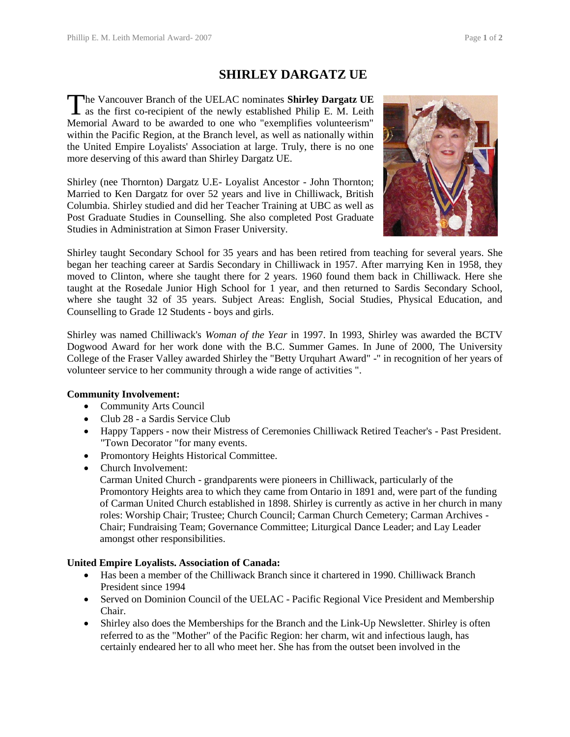## **SHIRLEY DARGATZ UE**

he Vancouver Branch of the UELAC nominates **Shirley Dargatz UE** The Vancouver Branch of the UELAC nominates Shirley Dargatz UE<br>as the first co-recipient of the newly established Philip E. M. Leith Memorial Award to be awarded to one who "exemplifies volunteerism" within the Pacific Region, at the Branch level, as well as nationally within the United Empire Loyalists' Association at large. Truly, there is no one more deserving of this award than Shirley Dargatz UE.

Shirley (nee Thornton) Dargatz U.E- Loyalist Ancestor - John Thornton; Married to Ken Dargatz for over 52 years and live in Chilliwack, British Columbia. Shirley studied and did her Teacher Training at UBC as well as Post Graduate Studies in Counselling. She also completed Post Graduate Studies in Administration at Simon Fraser University.



Shirley taught Secondary School for 35 years and has been retired from teaching for several years. She began her teaching career at Sardis Secondary in Chilliwack in 1957. After marrying Ken in 1958, they moved to Clinton, where she taught there for 2 years. 1960 found them back in Chilliwack. Here she taught at the Rosedale Junior High School for 1 year, and then returned to Sardis Secondary School, where she taught 32 of 35 years. Subject Areas: English, Social Studies, Physical Education, and Counselling to Grade 12 Students - boys and girls.

Shirley was named Chilliwack's *Woman of the Year* in 1997. In 1993, Shirley was awarded the BCTV Dogwood Award for her work done with the B.C. Summer Games. In June of 2000, The University College of the Fraser Valley awarded Shirley the "Betty Urquhart Award" -" in recognition of her years of volunteer service to her community through a wide range of activities ".

## **Community Involvement:**

- Community Arts Council
- Club 28 a Sardis Service Club
- Happy Tappers now their Mistress of Ceremonies Chilliwack Retired Teacher's Past President. "Town Decorator "for many events.
- Promontory Heights Historical Committee.
- Church Involvement:

Carman United Church - grandparents were pioneers in Chilliwack, particularly of the Promontory Heights area to which they came from Ontario in 1891 and, were part of the funding of Carman United Church established in 1898. Shirley is currently as active in her church in many roles: Worship Chair; Trustee; Church Council; Carman Church Cemetery; Carman Archives - Chair; Fundraising Team; Governance Committee; Liturgical Dance Leader; and Lay Leader amongst other responsibilities.

## **United Empire Loyalists. Association of Canada:**

- Has been a member of the Chilliwack Branch since it chartered in 1990. Chilliwack Branch President since 1994
- Served on Dominion Council of the UELAC Pacific Regional Vice President and Membership Chair.
- Shirley also does the Memberships for the Branch and the Link-Up Newsletter. Shirley is often referred to as the "Mother" of the Pacific Region: her charm, wit and infectious laugh, has certainly endeared her to all who meet her. She has from the outset been involved in the